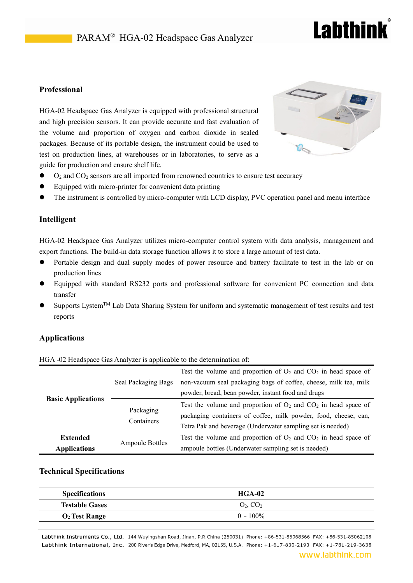### PARAM<sup>®</sup> HGA-02 Headspace Gas Analyzer

## **Labthink**

#### **Professional**

HGA-02 Headspace Gas Analyzer is equipped with professional structural and high precision sensors. It can provide accurate and fast evaluation of the volume and proportion of oxygen and carbon dioxide in sealed packages. Because of its portable design, the instrument could be used to test on production lines, at warehouses or in laboratories, to serve as a guide for production and ensure shelf life.



- $\bullet$  O<sub>2</sub> and CO<sub>2</sub> sensors are all imported from renowned countries to ensure test accuracy
- Equipped with micro-printer for convenient data printing
- The instrument is controlled by micro-computer with LCD display, PVC operation panel and menu interface

#### **Intelligent**

HGA-02 Headspace Gas Analyzer utilizes micro-computer control system with data analysis, management and export functions. The build-in data storage function allows it to store a large amount of test data.

- Portable design and dual supply modes of power resource and battery facilitate to test in the lab or on production lines
- Equipped with standard RS232 ports and professional software for convenient PC connection and data transfer
- Supports Lystem™ Lab Data Sharing System for uniform and systematic management of test results and test reports

#### **Applications**

| <b>Basic Applications</b> | Seal Packaging Bags     | Test the volume and proportion of $O_2$ and $CO_2$ in head space of |
|---------------------------|-------------------------|---------------------------------------------------------------------|
|                           |                         | non-vacuum seal packaging bags of coffee, cheese, milk tea, milk    |
|                           |                         | powder, bread, bean powder, instant food and drugs                  |
|                           | Packaging<br>Containers | Test the volume and proportion of $O_2$ and $CO_2$ in head space of |
|                           |                         | packaging containers of coffee, milk powder, food, cheese, can,     |
|                           |                         | Tetra Pak and beverage (Underwater sampling set is needed)          |
| <b>Extended</b>           | <b>Ampoule Bottles</b>  | Test the volume and proportion of $O_2$ and $CO_2$ in head space of |
| <b>Applications</b>       |                         | ampoule bottles (Underwater sampling set is needed)                 |

#### HGA -02 Headspace Gas Analyzer is applicable to the determination of:

#### **Technical Specifications**

| <b>Specifications</b>           | $HGA-02$       |
|---------------------------------|----------------|
| <b>Testable Gases</b>           | $O_2$ , $CO_2$ |
| <b>O<sub>2</sub></b> Test Range | $0 \sim 100\%$ |

Labthink Instruments Co., Ltd. 144 Wuyingshan Road, Jinan, P.R.China (250031) Phone: +86-531-85068566 FAX: +86-531-85062108 Labthink International, Inc. 200 River's Edge Drive, Medford, MA, 02155, U.S.A. Phone: +1-617-830-2190 FAX: +1-781-219-3638

#### www.labthink.com